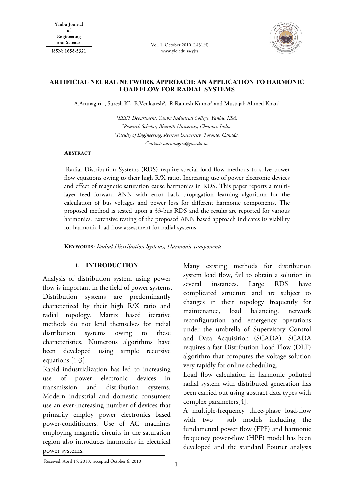Vol. 1, October 2010 (1431H) www.yic.edu.sa/yjes



# **ARTIFICIAL NEURAL NETWORK APPROACH: AN APPLICATION TO HARMONIC LOAD FLOW FOR RADIAL SYSTEMS**

A.Arunagiri<sup>1</sup> , Suresh K<sup>2</sup>, B.Venkatesh<sup>3</sup>, R.Ramesh Kumar<sup>1</sup> and Mustajab Ahmed Khan<sup>1</sup>

 *EEET Department, Yanbu Industrial College, Yanbu, KSA. Research Scholar, Bharath University, Chennai, India. Faculty of Engineering, Ryerson University, Toronto, Canada. Contact: aarunagiri@yic.edu.sa.* 

#### **ABSTRACT**

 Radial Distribution Systems (RDS) require special load flow methods to solve power flow equations owing to their high R/X ratio. Increasing use of power electronic devices and effect of magnetic saturation cause harmonics in RDS. This paper reports a multilayer feed forward ANN with error back propagation learning algorithm for the calculation of bus voltages and power loss for different harmonic components. The proposed method is tested upon a 33-bus RDS and the results are reported for various harmonics. Extensive testing of the proposed ANN based approach indicates its viability for harmonic load flow assessment for radial systems.

**KEYWORDS***: Radial Distribution Systems; Harmonic components.* 

## **1. INTRODUCTION**

Analysis of distribution system using power flow is important in the field of power systems. Distribution systems are predominantly characterized by their high R/X ratio and radial topology. Matrix based iterative methods do not lend themselves for radial distribution systems owing to these characteristics. Numerous algorithms have been developed using simple recursive equations [1-3].

Rapid industrialization has led to increasing use of power electronic devices in transmission and distribution systems. Modern industrial and domestic consumers use an ever-increasing number of devices that primarily employ power electronics based power-conditioners. Use of AC machines employing magnetic circuits in the saturation region also introduces harmonics in electrical power systems.

Many existing methods for distribution system load flow, fail to obtain a solution in several instances. Large RDS have complicated structure and are subject to changes in their topology frequently for maintenance, load balancing, network reconfiguration and emergency operations under the umbrella of Supervisory Control and Data Acquisition (SCADA). SCADA requires a fast Distribution Load Flow (DLF) algorithm that computes the voltage solution very rapidly for online scheduling.

Load flow calculation in harmonic polluted radial system with distributed generation has been carried out using abstract data types with complex parameters[4].

A multiple-frequency three-phase load-flow with two sub models including the fundamental power flow (FPF) and harmonic frequency power-flow (HPF) model has been developed and the standard Fourier analysis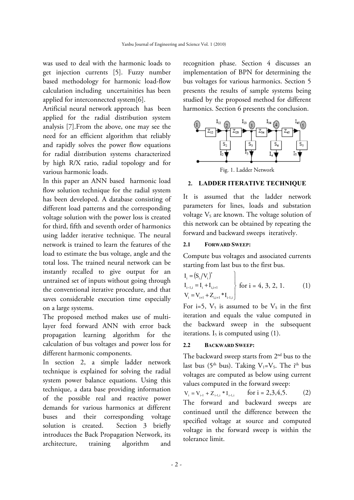was used to deal with the harmonic loads to get injection currents [5]. Fuzzy number based methodology for harmonic load-flow calculation including uncertainities has been applied for interconnected system[6].

Artificial neural network approach has been applied for the radial distribution system analysis [7].From the above, one may see the need for an efficient algorithm that reliably and rapidly solves the power flow equations for radial distribution systems characterized by high R/X ratio, radial topology and for various harmonic loads.

In this paper an ANN based harmonic load flow solution technique for the radial system has been developed. A database consisting of different load patterns and the corresponding voltage solution with the power loss is created for third, fifth and seventh order of harmonics using ladder iterative technique. The neural network is trained to learn the features of the load to estimate the bus voltage, angle and the total loss. The trained neural network can be instantly recalled to give output for an untrained set of inputs without going through the conventional iterative procedure, and that saves considerable execution time especially on a large systems.

The proposed method makes use of multilayer feed forward ANN with error back propagation learning algorithm for the calculation of bus voltages and power loss for different harmonic components.

In section 2, a simple ladder network technique is explained for solving the radial system power balance equations. Using this technique, a data base providing information of the possible real and reactive power demands for various harmonics at different buses and their corresponding voltage solution is created. Section 3 briefly introduces the Back Propagation Network, its architecture, training algorithm and recognition phase. Section 4 discusses an implementation of BPN for determining the bus voltages for various harmonics. Section 5 presents the results of sample systems being studied by the proposed method for different harmonics. Section 6 presents the conclusion.



# **2. LADDER ITERATIVE TECHNIQUE**

It is assumed that the ladder network parameters for lines, loads and substation voltage  $V_s$  are known. The voltage solution of this network can be obtained by repeating the forward and backward sweeps iteratively.

# **2.1 FORWARD SWEEP:**

Compute bus voltages and associated currents starting from last bus to the first bus.

$$
I_{i} = (S_{i}/V_{i})^{*}
$$
  
\n
$$
I_{i-1,i} = I_{i} + I_{i,i+1}
$$
  
\n
$$
V_{i} = V_{i+1} + Z_{i,i+1}^{*} * I_{i-1,i}
$$
 for i = 4, 3, 2, 1. (1)

For i=5,  $V_5$  is assumed to be  $V_5$  in the first iteration and equals the value computed in the backward sweep in the subsequent iterations.  $I_5$  is computed using  $(1)$ .

# **2.2 BACKWARD SWEEP:**

The backward sweep starts from  $2<sup>nd</sup>$  bus to the last bus (5<sup>th</sup> bus). Taking V<sub>1</sub>=V<sub>S</sub>. The i<sup>th</sup> bus voltages are computed as below using current values computed in the forward sweep:

```
V_i = V_{i-1} + Z_{i-1,i} * I_{i-1,i} for i = 2,3,4,5. (2)
The forward and backward sweeps are 
continued until the difference between the 
specified voltage at source and computed 
voltage in the forward sweep is within the 
tolerance limit.
```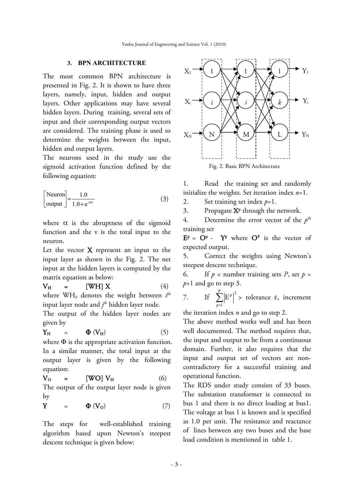## **3. BPN ARCHITECTURE**

The most common BPN architecture is presented in Fig. 2. It is shown to have three layers, namely, input, hidden and output layers. Other applications may have several hidden layers. During training, several sets of input and their corresponding output vectors are considered. The training phase is used to determine the weights between the input, hidden and output layers.

The neurons used in the study use the sigmoid activation function defined by the following equation:

$$
\begin{bmatrix} \text{Neuron} \\ \text{output} \end{bmatrix} = \frac{1.0}{1.0 + e^{-\alpha v}} \tag{3}
$$

where  $\alpha$  is the abruptness of the sigmoid function and the v is the total input to the neuron.

Let the vector X represent an input to the input layer as shown in the Fig. 2. The net input at the hidden layers is computed by the matrix equation as below:

$$
V_H = [WH] X \t(4)
$$

where WH<sub>ji</sub> denotes the weight between *i*<sup>th</sup> input layer node and  $j<sup>th</sup>$  hidden layer node.

The output of the hidden layer nodes are given by

$$
Y_{H} = \Phi (V_{H}) \qquad (5)
$$

where  $\Phi$  is the appropriate activation function. In a similar manner, the total input at the output layer is given by the following equation:

$$
V_{O} = [WO] V_{H} \qquad (6)
$$

The output of the output layer node is given by

$$
Y = \Phi (V_0) \tag{7}
$$

The steps for well-established training algorithm based upon Newton's steepest descent technique is given below:



1. Read the training set and randomly initialize the weights. Set iteration index *n*=1.

2. Set training set index *p*=1.

3. Propagate  $X^P$  through the network.

4. Determine the error vector of the  $p<sup>th</sup>$ training set

 $E^p = \mathbf{O}^p$  -  $Y^p$  where  $\mathbf{O}^p$  is the vector of expected output.

5. Correct the weights using Newton's steepest descent technique.

6. If  $p$  < number training sets *P*, set  $p =$ *p*+1 and go to step 3.

7. If 
$$
\sum_{p=1}^{P} |E^p|^2
$$
 > tolerance  $\varepsilon$ , increment

the iteration index *n* and go to step 2.

The above method works well and has been well documented. The method requires that, the input and output to be from a continuous domain. Further, it also requires that the input and output set of vectors are noncontradictory for a successful training and operational function.

The RDS under study consists of 33 buses. The substation transformer is connected to bus 1 and there is no direct loading at bus1. The voltage at bus 1 is known and is specified as 1.0 per unit. The resistance and reactance of lines between any two buses and the base load condition is mentioned in table 1.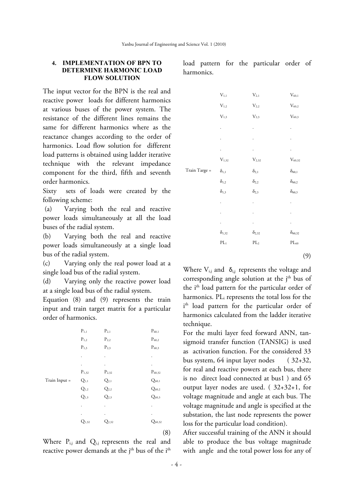#### **4. IMPLEMENTATION OF BPN TO DETERMINE HARMONIC LOAD FLOW SOLUTION**

The input vector for the BPN is the real and reactive power loads for different harmonics at various buses of the power system. The resistance of the different lines remains the same for different harmonics where as the reactance changes according to the order of harmonics. Load flow solution for different load patterns is obtained using ladder iterative technique with the relevant impedance component for the third, fifth and seventh order harmonics.

Sixty sets of loads were created by the following scheme:

 (a) Varying both the real and reactive power loads simultaneously at all the load buses of the radial system.

(b) Varying both the real and reactive power loads simultaneously at a single load bus of the radial system.

(c) Varying only the real power load at a single load bus of the radial system.

(d) Varying only the reactive power load at a single load bus of the radial system.

Equation (8) and (9) represents the train input and train target matrix for a particular order of harmonics.

|               | $P_{1,1}$          | $P_{2,1}$                       | $P_{60,1}$          |
|---------------|--------------------|---------------------------------|---------------------|
|               | $\mathrm{P}_{1,2}$ | $P_{2,2}$                       | $\mathrm{P}_{60,2}$ |
|               | $\mathrm{P}_{1,3}$ | $\mathrm{P}_{2,3}$              | $P_{60,3}$          |
|               |                    | $\bullet$                       | $\bullet$           |
|               |                    | $\centering \label{eq:reduced}$ | $\bullet$           |
|               | $P_{1,32}$         | $\mathrm{P}_{2,32}$             | $P_{60,32}$         |
| Train Input = | $Q_{1,1}$          | $Q_{2,1}$                       | $Q_{60,1}$          |
|               | $Q_{\rm 1,2}$      | $Q_{2,2}$                       | $Q_{60,2}$          |
|               | $Q_{1,3}$          | $Q_{2,3}$                       | $Q_{60,3}$          |
|               |                    |                                 | $\bullet$           |
|               |                    |                                 |                     |
|               | $Q_{1,32}$         | $Q_{2,32}$                      | $Q_{60,32}$         |
|               |                    |                                 | (8)                 |

Where  $P_{i,j}$  and  $Q_{i,j}$  represents the real and reactive power demands at the  $j<sup>th</sup>$  bus of the  $i<sup>th</sup>$ 

|               | $\mathrm{V}_{1,1}$ | $\mathrm{V}_{2,1}$ | $V_{60,1}$       |
|---------------|--------------------|--------------------|------------------|
|               | $\rm V_{1,2}$      | $\rm V_{2,2}$      | $\rm V_{60,2}$   |
|               | $\mathrm{V}_{1,3}$ | $V_{\rm 2,3}$      | $\rm V_{60,3}$   |
|               |                    |                    |                  |
|               |                    |                    |                  |
|               |                    | $\bullet$          |                  |
|               | $V_{\rm 1,32}$     | $V_{2,32}$         | $\rm V_{60,32}$  |
| Train Targe = | $\delta_{1,1}$     | $\delta_{2,1}$     | $\delta_{60,1}$  |
|               | $\delta_{1,2}$     | $\delta_{2,2}$     | $\delta_{60,2}$  |
|               | $\delta_{1,3}$     | $\delta_{2,3}$     | $\delta_{60,3}$  |
|               |                    |                    |                  |
|               |                    |                    |                  |
|               |                    |                    |                  |
|               | $\delta_{1,32}$    | $\delta_{2,32}$    | $\delta_{60,32}$ |
|               | $\rm{PL}_{1}$      | $\rm{PL}_2$        | $\rm PL_{60}$    |

load pattern for the particular order of harmonics.

(9)

Where  $V_{i,j}$  and  $\delta_{i,j}$  represents the voltage and corresponding angle solution at the  $j<sup>th</sup>$  bus of the i<sup>th</sup> load pattern for the particular order of harmonics. PL<sub>i</sub> represents the total loss for the i th load pattern for the particular order of harmonics calculated from the ladder iterative technique.

For the multi layer feed forward ANN, tansigmoid transfer function (TANSIG) is used as activation function. For the considered 33 bus system, 64 input layer nodes ( 32+32, for real and reactive powers at each bus, there is no direct load connected at bus1 ) and 65 output layer nodes are used. ( 32+32+1, for voltage magnitude and angle at each bus. The voltage magnitude and angle is specified at the substation, the last node represents the power loss for the particular load condition).

After successful training of the ANN it should able to produce the bus voltage magnitude with angle and the total power loss for any of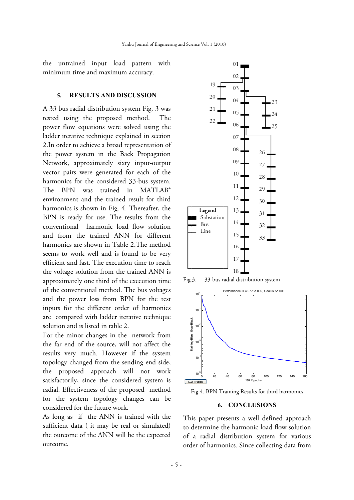the untrained input load pattern with minimu um time and d maximum accuracy.

#### **5. RESULTS AND DISCUSSION**

A 33 bu us radial dist tribution sys stem Fig. 3 was tested u using the proposed m method. T power flow equations were solved using the ladder iterative technique explained in section 2. In order to achieve a broad representation of the power system in the Back Propagation Network, approximately sixty input-output vector pairs were generated for each of the harmonics for the considered 33-bus system. The B BPN was trained i environment and the trained result for third harmon nics is shown n in Fig. 4. Thereafter, the BPN is ready for use. The results from the convent tional harm monic load d flow solut tion and from the trained ANN for different harmonics are shown in Table 2. The method seems to work well and is found to be very efficient and fast. The execution time to reach the voltage solution from the trained ANN is approxim mately one third of the execution t time of the conventional method. The bus voltages and the power loss from BPN for the test inputs for the different order of harmonics are compared with ladder iterative technique solution n and is liste d in table 2. . in MATLAB<sup>®</sup> The

For the minor changes in the network from the far end of the source, will l not affect the results very much. However if the system topology changed from the sending end side, the proposed approach will not work satisfactorily, since the considered system is radial. Effectiveness of the proposed method for the system topology changes can be considered for the future work.

considered for the future work.<br>As long as if the ANN is trained with the sufficient data ( it may be real or simulated) the outcome of the ANN will be the expected outcome.



Fig.3. 3. 33-bus r radial distribut tion system



Fig.4. BPN Training Results for third harmonics

#### **6. CONCLUSIONS**

This paper presents a well defined approach to d determine th he harmoni c load flow solution of a radial distribution system for various der of harmonics. Since collecting data from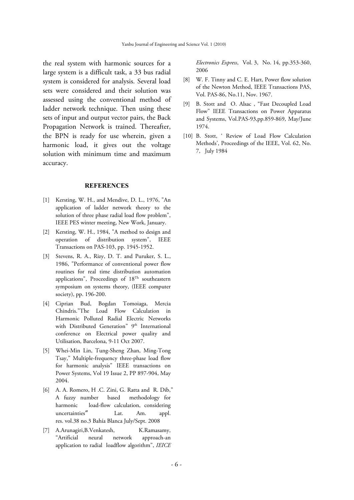the real system with harmonic sources for a large system is a difficult task, a 33 bus radial system is considered for analysis. Several load sets were considered and their solution was assessed using the conventional method of ladder network technique. Then using these sets of input and output vector pairs, the Back Propagation Network is trained. Thereafter, the BPN is ready for use wherein, given a harmonic load, it gives out the voltage solution with minimum time and maximum accuracy.

### **REFERENCES**

- [1] Kersting, W. H., and Mendive, D. L., 1976, "An application of ladder network theory to the solution of three phase radial load flow problem", IEEE PES winter meeting, New Work, January.
- [2] Kersting, W. H., 1984, "A method to design and operation of distribution system", IEEE Transactions on PAS-103, pp. 1945-1952.
- [3] Stevens, R. A., Rizy, D. T. and Puruker, S. L., 1986, "Performance of conventional power flow routines for real time distribution automation applications", Proceedings of 18Th southeastern symposium on systems theory, (IEEE computer society), pp. 196-200.
- [4] Ciprian Bud, Bogdan Tomoiaga, Mercia Chindris."The Load Flow Calculation in Harmonic Polluted Radial Electric Networks with Distributed Generation" 9th International conference on Electrical power quality and Utilisation, Barcelona, 9-11 Oct 2007.
- [5] Whei-Min Lin, Tung-Sheng Zhan, Ming-Tong Tsay," Multiple-frequency three-phase load flow for harmonic analysis" IEEE transactions on Power Systems, Vol 19 Issue 2, PP 897-904, May 2004.
- [6] A. A. Romero, H .C. Zini, G. Ratta and R. Dib," A fuzzy number based methodology for harmonic load-flow calculation, considering uncertainties" Lat. Am. appl. res. vol.38 no.3 Bahía Blanca July/Sept. 2008
- [7] A.Arunagiri, B.Venkatesh, K.Ramasamy, "Artificial neural network approach-an application to radial loadflow algorithm", *IEICE*

*Electronics Express*, Vol. 3, No. 14, pp.353-360, 2006

- [8] W. F. Tinny and C. E. Hart, Power flow solution of the Newton Method, IEEE Transactions PAS, Vol. PAS-86, No.11, Nov. 1967.
- [9] B. Stott and O. Alsac , "Fast Decoupled Load Flow" IEEE Transactions on Power Apparatus and Systems, Vol.PAS-93,pp.859-869, May/June 1974.
- [10] B. Stott, ' Review of Load Flow Calculation Methods', Proceedings of the IEEE, Vol. 62, No. 7, July 1984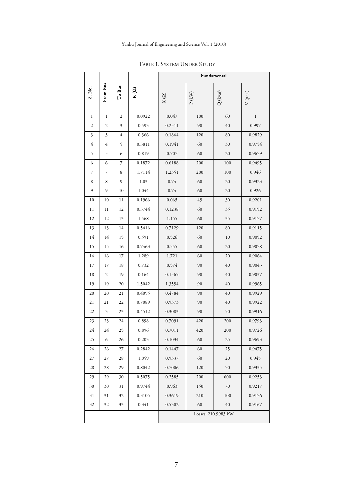|                |                |                |             |             | Fundamental    |                     |                       |
|----------------|----------------|----------------|-------------|-------------|----------------|---------------------|-----------------------|
| S. No.         | From Bus       | To Bus         | $R(\Omega)$ | $X(\Omega)$ | ${\bf P}$ (kW) | $\mathbf{Q}$ (kvar) | $V\left( p.u.\right)$ |
| 1              | $\mathbf{1}$   | $\overline{2}$ | 0.0922      | 0.047       | 100            | 60                  | $\mathbf{1}$          |
| $\mathfrak{2}$ | 2              | $\mathfrak{Z}$ | 0.493       | 0.2511      | 90             | 40                  | 0.997                 |
| 3              | 3              | 4              | 0.366       | 0.1864      | 120            | 80                  | 0.9829                |
| 4              | 4              | 5              | 0.3811      | 0.1941      | 60             | 30                  | 0.9754                |
| 5              | 5              | 6              | 0.819       | 0.707       | 60             | 20                  | 0.9679                |
| 6              | 6              | 7              | 0.1872      | 0.6188      | 200            | 100                 | 0.9495                |
| 7              | 7              | 8              | 1.7114      | 1.2351      | 200            | 100                 | 0.946                 |
| 8              | 8              | 9              | 1.03        | 0.74        | 60             | 20                  | 0.9323                |
| 9              | 9              | 10             | 1.044       | 0.74        | 60             | 20                  | 0.926                 |
| 10             | 10             | 11             | 0.1966      | 0.065       | 45             | 30                  | 0.9201                |
| 11             | 11             | 12             | 0.3744      | 0.1238      | 60             | 35                  | 0.9192                |
| 12             | 12             | 13             | 1.468       | 1.155       | 60             | 35                  | 0.9177                |
| 13             | 13             | 14             | 0.5416      | 0.7129      | 120            | 80                  | 0.9115                |
| 14             | 14             | 15             | 0.591       | 0.526       | 60             | 10                  | 0.9092                |
| 15             | 15             | 16             | 0.7463      | 0.545       | 60             | 20                  | 0.9078                |
| 16             | 16             | 17             | 1.289       | 1.721       | 60             | 20                  | 0.9064                |
| 17             | 17             | 18             | 0.732       | 0.574       | 90             | 40                  | 0.9043                |
| 18             | 2              | 19             | 0.164       | 0.1565      | 90             | 40                  | 0.9037                |
| 19             | 19             | 20             | 1.5042      | 1.3554      | 90             | 40                  | 0.9965                |
| 20             | 20             | 21             | 0.4095      | 0.4784      | 90             | 40                  | 0.9929                |
| 21             | 21             | 22             | 0.7089      | 0.9373      | 90             | 40                  | 0.9922                |
| 22             | $\mathfrak{Z}$ | 23             | 0.4512      | 0.3083      | 90             | 50                  | 0.9916                |
| 23             | 23             | 24             | 0.898       | 0.7091      | 420            | 200                 | 0.9793                |
| 24             | 24             | 25             | 0.896       | 0.7011      | 420            | 200                 | 0.9726                |
| 25             | $\circ$        | 26             | 0.203       | 0.1034      | 60             | 25                  | 0.9693                |
| 26             | 26             | 27             | 0.2842      | 0.1447      | 60             | 25                  | 0.9475                |
| 27             | 27             | 28             | 1.059       | 0.9337      | 60             | 20                  | 0.945                 |
| 28             | 28             | 29             | 0.8042      | 0.7006      | 120            | 70                  | 0.9335                |
| 29             | 29             | 30             | 0.5075      | 0.2585      | 200            | 600                 | 0.9253                |
| 30             | 30             | 31             | 0.9744      | 0.963       | 150            | 70                  | 0.9217                |
| 31             | 31             | 32             | 0.3105      | 0.3619      | 210            | 100                 | 0.9176                |
| 32             | 32             | 33             | 0.341       | 0.5302      | 60             | $40\,$              | 0.9167                |
|                |                |                |             |             |                | Losses: 210.9983 kW |                       |

TABLE 1: SYSTEM UNDER STUDY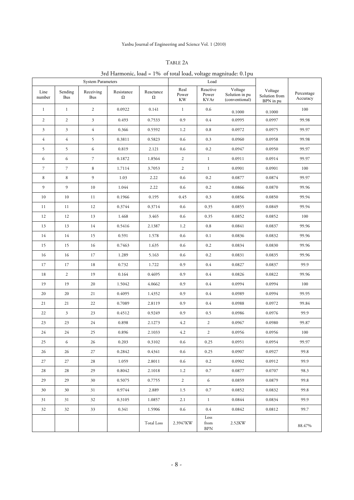### TABLE 2A

# 3rd Harmonic, load = 1% of total load, voltage magnitude: 0.1pu

|                |                       | <b>System Parameters</b> |                 |                       | Load                |                                  |                                             |                                       |                        |
|----------------|-----------------------|--------------------------|-----------------|-----------------------|---------------------|----------------------------------|---------------------------------------------|---------------------------------------|------------------------|
| Line<br>number | Sending<br><b>Bus</b> | Receiving<br><b>Bus</b>  | Resistance<br>Ω | Reactance<br>$\Omega$ | Real<br>Power<br>KW | Reactive<br>Power<br><b>KVAr</b> | Voltage<br>Solution in pu<br>(conventional) | Voltage<br>Solution from<br>BPN in pu | Percentage<br>Accuracy |
| $\mathbf{1}$   | $1\,$                 | 2                        | 0.0922          | 0.141                 | $\mathbf{1}$        | 0.6                              | 0.1000                                      | 0.1000                                | 100                    |
| 2              | $\overline{c}$        | $\mathfrak{Z}$           | 0.493           | 0.7533                | 0.9                 | 0.4                              | 0.0995                                      | 0.0997                                | 99.98                  |
| $\mathfrak{Z}$ | $\mathfrak{Z}$        | $\overline{4}$           | 0.366           | 0.5592                | 1.2                 | $0.8\,$                          | 0.0972                                      | 0.0975                                | 99.97                  |
| $\overline{4}$ | $\overline{4}$        | 5                        | 0.3811          | 0.5823                | 0.6                 | 0.3                              | 0.0960                                      | 0.0958                                | 99.98                  |
| 5              | 5                     | 6                        | 0.819           | 2.121                 | 0.6                 | 0.2                              | 0.0947                                      | 0.0950                                | 99.97                  |
| 6              | 6                     | $\overline{\mathcal{I}}$ | 0.1872          | 1.8564                | $\overline{c}$      | $\mathbf{1}$                     | 0.0911                                      | 0.0914                                | 99.97                  |
| $\overline{7}$ | $\overline{7}$        | $\,8\,$                  | 1.7114          | 3.7053                | $\overline{c}$      | $\mathbf{1}$                     | 0.0901                                      | 0.0901                                | 100                    |
| 8              | 8                     | 9                        | 1.03            | 2.22                  | 0.6                 | 0.2                              | 0.0877                                      | 0.0874                                | 99.97                  |
| 9              | 9                     | $10\,$                   | 1.044           | 2.22                  | 0.6                 | 0.2                              | 0.0866                                      | 0.0870                                | 99.96                  |
| 10             | 10                    | 11                       | 0.1966          | 0.195                 | 0.45                | 0.3                              | 0.0856                                      | 0.0850                                | 99.94                  |
| 11             | 11                    | 12                       | 0.3744          | 0.3714                | 0.6                 | 0.35                             | 0.0855                                      | 0.0849                                | 99.94                  |
| 12             | 12                    | 13                       | 1.468           | 3.465                 | 0.6                 | 0.35                             | 0.0852                                      | 0.0852                                | 100                    |
| 13             | 13                    | 14                       | 0.5416          | 2.1387                | 1.2                 | 0.8                              | 0.0841                                      | 0.0837                                | 99.96                  |
| 14             | 14                    | 15                       | 0.591           | 1.578                 | 0.6                 | 0.1                              | 0.0836                                      | 0.0832                                | 99.96                  |
| 15             | 15                    | 16                       | 0.7463          | 1.635                 | 0.6                 | 0.2                              | 0.0834                                      | 0.0830                                | 99.96                  |
| 16             | 16                    | 17                       | 1.289           | 5.163                 | 0.6                 | 0.2                              | 0.0831                                      | 0.0835                                | 99.96                  |
| 17             | 17                    | 18                       | 0.732           | 1.722                 | 0.9                 | 0.4                              | 0.0827                                      | 0.0837                                | 99.9                   |
| 18             | $\overline{c}$        | 19                       | 0.164           | 0.4695                | 0.9                 | 0.4                              | 0.0826                                      | 0.0822                                | 99.96                  |
| 19             | 19                    | 20                       | 1.5042          | 4.0662                | 0.9                 | 0.4                              | 0.0994                                      | 0.0994                                | 100                    |
| 20             | 20                    | 21                       | 0.4095          | 1.4352                | 0.9                 | 0.4                              | 0.0989                                      | 0.0994                                | 99.95                  |
| 21             | 21                    | 22                       | 0.7089          | 2.8119                | 0.9                 | 0.4                              | 0.0988                                      | 0.0972                                | 99.84                  |
| 22             | $\mathfrak{Z}$        | 23                       | 0.4512          | 0.9249                | 0.9                 | 0.5                              | 0.0986                                      | 0.0976                                | 99.9                   |
| 23             | 23                    | 24                       | 0.898           | 2.1273                | 4.2                 | $\overline{2}$                   | 0.0967                                      | 0.0980                                | 99.87                  |
| 24             | 24                    | 25                       | 0.896           | 2.1033                | 4.2                 | $\mathbf{2}$                     | 0.0956                                      | 0.0956                                | 100                    |
| 25             | 6                     | 26                       | 0.203           | 0.3102                | 0.6                 | 0.25                             | 0.0951                                      | 0.0954                                | 99.97                  |
| 26             | 26                    | 27                       | 0.2842          | 0.4341                | 0.6                 | 0.25                             | 0.0907                                      | 0.0927                                | 99.8                   |
| 27             | 27                    | 28                       | 1.059           | 2.8011                | 0.6                 | 0.2                              | 0.0902                                      | 0.0912                                | 99.9                   |
| 28             | 28                    | 29                       | 0.8042          | 2.1018                | 1.2                 | 0.7                              | 0.0877                                      | 0.0707                                | 98.3                   |
| 29             | 29                    | 30                       | 0.5075          | 0.7755                | $\overline{2}$      | 6                                | 0.0859                                      | 0.0879                                | 99.8                   |
| 30             | 30                    | 31                       | 0.9744          | 2.889                 | 1.5                 | 0.7                              | 0.0852                                      | 0.0832                                | 99.8                   |
| 31             | 31                    | 32                       | 0.3105          | 1.0857                | 2.1                 | $\mathbf{1}$                     | 0.0844                                      | 0.0834                                | 99.9                   |
| 32             | 32                    | 33                       | 0.341           | 1.5906                | 0.6                 | 0.4                              | 0.0842                                      | 0.0812                                | 99.7                   |
|                |                       |                          |                 | <b>Total Loss</b>     | 2.3947KW            | Loss<br>from<br><b>BPN</b>       | 2.52KW                                      |                                       | 88.47%                 |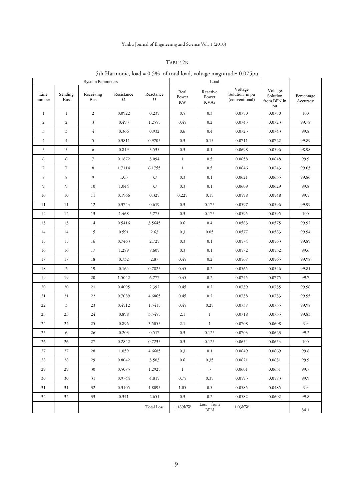# Yanbu Journal of Engineering and Science Vol. 1 (2010)

### TABLE 2B

# 5th Harmonic, load = 0.5% of total load, voltage magnitude: 0.075pu

|                |                         | <b>System Parameters</b> |                        |                   | Load                       |                           |                                             |                                          |                        |
|----------------|-------------------------|--------------------------|------------------------|-------------------|----------------------------|---------------------------|---------------------------------------------|------------------------------------------|------------------------|
| Line<br>number | Sending<br><b>Bus</b>   | Receiving<br><b>Bus</b>  | Resistance<br>$\Omega$ | Reactance<br>Ω    | Real<br>Power<br><b>KW</b> | Reactive<br>Power<br>KVAr | Voltage<br>Solution in pu<br>(conventional) | Voltage<br>Solution<br>from BPN in<br>pu | Percentage<br>Accuracy |
| $\mathbf{1}$   | $\mathbf{1}$            | 2                        | 0.0922                 | 0.235             | 0.5                        | 0.3                       | 0.0750                                      | 0.0750                                   | 100                    |
| $\mathfrak{2}$ | $\sqrt{2}$              | $\mathfrak{Z}$           | 0.493                  | 1.2555            | 0.45                       | 0.2                       | 0.0745                                      | 0.0723                                   | 99.78                  |
| $\mathfrak{Z}$ | $\overline{\mathbf{3}}$ | $\overline{4}$           | 0.366                  | 0.932             | 0.6                        | 0.4                       | 0.0723                                      | 0.0743                                   | 99.8                   |
| $\overline{4}$ | $\overline{4}$          | 5                        | 0.3811                 | 0.9705            | 0.3                        | 0.15                      | 0.0711                                      | 0.0722                                   | 99.89                  |
| 5              | 5                       | 6                        | 0.819                  | 3.535             | 0.3                        | 0.1                       | 0.0698                                      | 0.0596                                   | 98.98                  |
| 6              | 6                       | $\boldsymbol{7}$         | 0.1872                 | 3.094             | $\mathbf{1}$               | 0.5                       | 0.0658                                      | 0.0648                                   | 99.9                   |
| $\overline{7}$ | $\overline{7}$          | 8                        | 1.7114                 | 6.1755            | $\mathbf{1}$               | 0.5                       | 0.0646                                      | 0.0743                                   | 99.03                  |
| 8              | 8                       | 9                        | 1.03                   | 3.7               | 0.3                        | 0.1                       | 0.0621                                      | 0.0635                                   | 99.86                  |
| 9              | 9                       | $10\,$                   | 1.044                  | 3.7               | 0.3                        | 0.1                       | 0.0609                                      | 0.0629                                   | 99.8                   |
| 10             | 10                      | 11                       | 0.1966                 | 0.325             | 0.225                      | 0.15                      | 0.0598                                      | 0.0548                                   | 99.5                   |
| 11             | 11                      | 12                       | 0.3744                 | 0.619             | 0.3                        | 0.175                     | 0.0597                                      | 0.0596                                   | 99.99                  |
| 12             | 12                      | 13                       | 1.468                  | 5.775             | 0.3                        | 0.175                     | 0.0595                                      | 0.0595                                   | 100                    |
| 13             | 13                      | 14                       | 0.5416                 | 3.5645            | 0.6                        | 0.4                       | 0.0583                                      | 0.0575                                   | 99.92                  |
| 14             | 14                      | 15                       | 0.591                  | 2.63              | 0.3                        | 0.05                      | 0.0577                                      | 0.0583                                   | 99.94                  |
| 15             | 15                      | 16                       | 0.7463                 | 2.725             | 0.3                        | 0.1                       | 0.0574                                      | 0.0563                                   | 99.89                  |
| 16             | 16                      | 17                       | 1.289                  | 8.605             | 0.3                        | 0.1                       | 0.0572                                      | 0.0532                                   | 99.6                   |
| 17             | 17                      | 18                       | 0.732                  | 2.87              | 0.45                       | 0.2                       | 0.0567                                      | 0.0565                                   | 99.98                  |
| 18             | $\mathbf{2}$            | 19                       | 0.164                  | 0.7825            | 0.45                       | 0.2                       | 0.0565                                      | 0.0546                                   | 99.81                  |
| 19             | 19                      | 20                       | 1.5042                 | 6.777             | 0.45                       | 0.2                       | 0.0745                                      | 0.0775                                   | 99.7                   |
| 20             | 20                      | 21                       | 0.4095                 | 2.392             | 0.45                       | 0.2                       | 0.0739                                      | 0.0735                                   | 99.96                  |
| 21             | 21                      | 22                       | 0.7089                 | 4.6865            | 0.45                       | 0.2                       | 0.0738                                      | 0.0733                                   | 99.95                  |
| 22             | 3                       | 23                       | 0.4512                 | 1.5415            | 0.45                       | 0.25                      | 0.0737                                      | 0.0735                                   | 99.98                  |
| 23             | 23                      | 24                       | 0.898                  | 3.5455            | 2.1                        | $\mathbf{1}$              | 0.0718                                      | 0.0735                                   | 99.83                  |
| 24             | 24                      | 25                       | 0.896                  | 3.5055            | 2.1                        | $\mathbf{1}$              | 0.0708                                      | 0.0608                                   | 99                     |
| 25             | 6                       | 26                       | 0.203                  | 0.517             | 0.3                        | 0.125                     | 0.0703                                      | 0.0623                                   | 99.2                   |
| 26             | 26                      | 27                       | 0.2842                 | 0.7235            | 0.3                        | 0.125                     | 0.0654                                      | 0.0654                                   | 100                    |
| 27             | 27                      | 28                       | 1.059                  | 4.6685            | 0.3                        | 0.1                       | 0.0649                                      | 0.0669                                   | 99.8                   |
| 28             | 28                      | 29                       | 0.8042                 | 3.503             | 0.6                        | 0.35                      | 0.0621                                      | 0.0631                                   | 99.9                   |
| 29             | 29                      | 30                       | 0.5075                 | 1.2925            | $\mathbf{1}$               | $\mathfrak{Z}$            | 0.0601                                      | 0.0631                                   | 99.7                   |
| 30             | 30                      | 31                       | 0.9744                 | 4.815             | 0.75                       | 0.35                      | 0.0593                                      | 0.0583                                   | 99.9                   |
| 31             | 31                      | 32                       | 0.3105                 | 1.8095            | 1.05                       | 0.5                       | 0.0585                                      | 0.0485                                   | 99                     |
| 32             | 32                      | 33                       | 0.341                  | 2.651             | 0.3                        | 0.2                       | 0.0582                                      | 0.0602                                   | 99.8                   |
|                |                         |                          |                        | <b>Total Loss</b> | 1.189KW                    | Loss from<br><b>BPN</b>   | 1.03KW                                      |                                          | 84.1                   |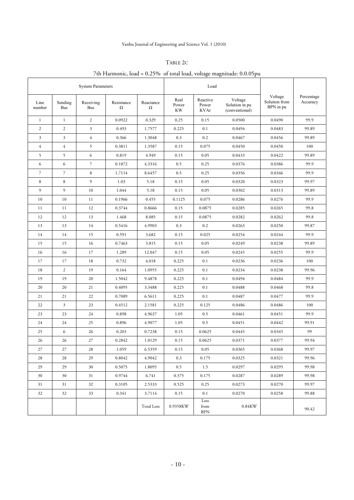# Yanbu Journal of Engineering and Science Vol. 1 (2010)

## TABLE 2C

# 7th Harmonic, load = 0.25% of total load, voltage magnitude: 0.0.05pu

|                |                | <b>System Parameters</b> |                        |                       | Load                       |                                  |                                             |                                       |                        |
|----------------|----------------|--------------------------|------------------------|-----------------------|----------------------------|----------------------------------|---------------------------------------------|---------------------------------------|------------------------|
| Line<br>number | Sending<br>Bus | Receiving<br>Bus         | Resistance<br>$\Omega$ | Reactance<br>$\Omega$ | Real<br>Power<br><b>KW</b> | Reactive<br>Power<br><b>KVAr</b> | Voltage<br>Solution in pu<br>(conventional) | Voltage<br>Solution from<br>BPN in pu | Percentage<br>Accuracy |
| $\mathbf{1}$   | $\mathbf{1}$   | $\overline{2}$           | 0.0922                 | 0.329                 | 0.25                       | 0.15                             | 0.0500                                      | 0.0490                                | 99.9                   |
| $\mathfrak{2}$ | $\sqrt{2}$     | 3                        | 0.493                  | 1.7577                | 0.225                      | 0.1                              | 0.0494                                      | 0.0483                                | 99.89                  |
| $\mathfrak{Z}$ | $\mathfrak{Z}$ | $\overline{4}$           | 0.366                  | 1.3048                | 0.3                        | 0.2                              | 0.0467                                      | 0.0456                                | 99.89                  |
| $\overline{4}$ | $\overline{4}$ | 5                        | 0.3811                 | 1.3587                | 0.15                       | 0.075                            | 0.0450                                      | 0.0450                                | 100                    |
| 5              | 5              | 6                        | 0.819                  | 4.949                 | 0.15                       | 0.05                             | 0.0433                                      | 0.0422                                | 99.89                  |
| 6              | 6              | 7                        | 0.1872                 | 4.3316                | 0.5                        | 0.25                             | 0.0376                                      | 0.0386                                | 99.9                   |
| $\overline{7}$ | $\mathcal{I}$  | 8                        | 1.7114                 | 8.6457                | 0.5                        | 0.25                             | 0.0356                                      | 0.0346                                | 99.9                   |
| 8              | 8              | 9                        | 1.03                   | 5.18                  | 0.15                       | 0.05                             | 0.0320                                      | 0.0323                                | 99.97                  |
| 9              | 9              | 10                       | 1.044                  | 5.18                  | 0.15                       | 0.05                             | 0.0302                                      | 0.0313                                | 99.89                  |
| 10             | 10             | 11                       | 0.1966                 | 0.455                 | 0.1125                     | 0.075                            | 0.0286                                      | 0.0276                                | 99.9                   |
| 11             | 11             | 12                       | 0.3744                 | 0.8666                | 0.15                       | 0.0875                           | 0.0285                                      | 0.0265                                | 99.8                   |
| 12             | 12             | 13                       | 1.468                  | 8.085                 | 0.15                       | 0.0875                           | 0.0282                                      | 0.0262                                | 99.8                   |
| 13             | 13             | 14                       | 0.5416                 | 4.9903                | 0.3                        | 0.2                              | 0.0263                                      | 0.0250                                | 99.87                  |
| 14             | 14             | 15                       | 0.591                  | 3.682                 | 0.15                       | 0.025                            | 0.0254                                      | 0.0244                                | 99.9                   |
| 15             | 15             | 16                       | 0.7463                 | 3.815                 | 0.15                       | 0.05                             | 0.0249                                      | 0.0238                                | 99.89                  |
| 16             | 16             | 17                       | 1.289                  | 12.047                | 0.15                       | 0.05                             | 0.0245                                      | 0.0255                                | 99.9                   |
| 17             | 17             | 18                       | 0.732                  | 4.018                 | 0.225                      | 0.1                              | 0.0236                                      | 0.0236                                | 100                    |
| 18             | 2              | 19                       | 0.164                  | 1.0955                | 0.225                      | 0.1                              | 0.0234                                      | 0.0238                                | 99.96                  |
| 19             | 19             | 20                       | 1.5042                 | 9.4878                | 0.225                      | 0.1                              | 0.0494                                      | 0.0484                                | 99.9                   |
| 20             | 20             | 21                       | 0.4095                 | 3.3488                | 0.225                      | 0.1                              | 0.0488                                      | 0.0468                                | 99.8                   |
| 21             | 21             | 22                       | 0.7089                 | 6.5611                | 0.225                      | 0.1                              | 0.0487                                      | 0.0477                                | 99.9                   |
| 22             | $\mathfrak{Z}$ | 23                       | 0.4512                 | 2.1581                | 0.225                      | 0.125                            | 0.0486                                      | 0.0486                                | 100                    |
| 23             | 23             | 24                       | 0.898                  | 4.9637                | 1.05                       | 0.5                              | 0.0461                                      | 0.0451                                | 99.9                   |
| 24             | 24             | 25                       | 0.896                  | 4.9077                | 1.05                       | 0.5                              | 0.0451                                      | 0.0442                                | 99.91                  |
| 25             | 6              | 26                       | 0.203                  | 0.7238                | 0.15                       | 0.0625                           | 0.0445                                      | 0.0345                                | 99                     |
| 26             | 26             | 27                       | 0.2842                 | 1.0129                | 0.15                       | 0.0625                           | 0.0371                                      | 0.0377                                | 99.94                  |
| 27             | 27             | 28                       | 1.059                  | 6.5359                | 0.15                       | 0.05                             | 0.0365                                      | 0.0368                                | 99.97                  |
| 28             | 28             | 29                       | 0.8042                 | 4.9042                | 0.3                        | 0.175                            | 0.0325                                      | 0.0321                                | 99.96                  |
| 29             | 29             | 30                       | 0.5075                 | 1.8095                | 0.5                        | 1.5                              | 0.0297                                      | 0.0295                                | 99.98                  |
| 30             | 30             | 31                       | 0.9744                 | 6.741                 | 0.375                      | 0.175                            | 0.0287                                      | 0.0289                                | 99.98                  |
| 31             | 31             | 32                       | 0.3105                 | 2.5333                | 0.525                      | 0.25                             | 0.0273                                      | 0.0270                                | 99.97                  |
| 32             | 32             | 33                       | 0.341                  | 3.7114                | 0.15                       | 0.1                              | 0.0270                                      | 0.0258                                | 99.88                  |
|                |                |                          |                        | <b>Total Loss</b>     | 0.9358KW                   | Loss<br>from<br><b>BPN</b>       | 0.84KW                                      |                                       | 90.42                  |